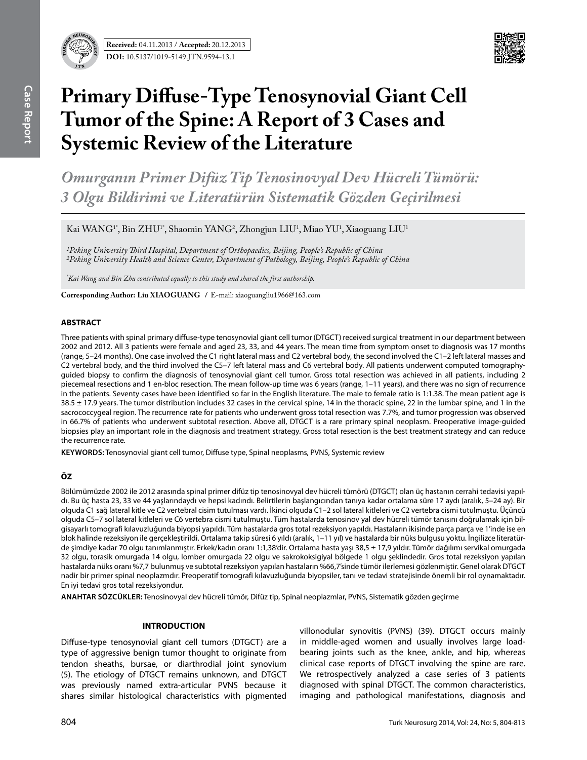**Received:** 04.11.2013 / **Accepted:** 20.12.2013 **DOI:** 10.5137/1019-5149.JTN.9594-13.1



# **Primary Diffuse-Type Tenosynovial Giant Cell Tumor of the Spine: A Report of 3 Cases and Systemic Review of the Literature**

*Omurganın Primer Difüz Tip Tenosinovyal Dev Hücreli Tümörü: 3 Olgu Bildirimi ve Literatürün Sistematik Gözden Geçirilmesi*

Kai WANG<sup>1\*</sup>, Bin ZHU<sup>1\*</sup>, Shaomin YANG<sup>2</sup>, Zhongjun LIU<sup>1</sup>, Miao YU<sup>1</sup>, Xiaoguang LIU<sup>1</sup>

*1Peking University Third Hospital, Department of Orthopaedics, Beijing, People's Republic of China 2Peking University Health and Science Center, Department of Pathology, Beijing, People's Republic of China* 

*\* Kai Wang and Bin Zhu contributed equally to this study and shared the first authorship.*

**Corresponding Author: Liu XIaoguang /** E-mail: xiaoguangliu1966@163.com

#### **ABSTRACT**

Three patients with spinal primary diffuse-type tenosynovial giant cell tumor (DTGCT) received surgical treatment in our department between 2002 and 2012. All 3 patients were female and aged 23, 33, and 44 years. The mean time from symptom onset to diagnosis was 17 months (range, 5–24 months). One case involved the C1 right lateral mass and C2 vertebral body, the second involved the C1–2 left lateral masses and C2 vertebral body, and the third involved the C5–7 left lateral mass and C6 vertebral body. All patients underwent computed tomographyguided biopsy to confirm the diagnosis of tenosynovial giant cell tumor. Gross total resection was achieved in all patients, including 2 piecemeal resections and 1 en-bloc resection. The mean follow-up time was 6 years (range, 1–11 years), and there was no sign of recurrence in the patients. Seventy cases have been identified so far in the English literature. The male to female ratio is 1:1.38. The mean patient age is 38.5 ± 17.9 years. The tumor distribution includes 32 cases in the cervical spine, 14 in the thoracic spine, 22 in the lumbar spine, and 1 in the sacrococcygeal region. The recurrence rate for patients who underwent gross total resection was 7.7%, and tumor progression was observed in 66.7% of patients who underwent subtotal resection. Above all, DTGCT is a rare primary spinal neoplasm. Preoperative image-guided biopsies play an important role in the diagnosis and treatment strategy. Gross total resection is the best treatment strategy and can reduce the recurrence rate.

**Keywords:** Tenosynovial giant cell tumor, Diffuse type, Spinal neoplasms, PVNS, Systemic review

### **ÖZ**

Bölümümüzde 2002 ile 2012 arasında spinal primer difüz tip tenosinovyal dev hücreli tümörü (DTGCT) olan üç hastanın cerrahi tedavisi yapıldı. Bu üç hasta 23, 33 ve 44 yaşlarındaydı ve hepsi kadındı. Belirtilerin başlangıcından tanıya kadar ortalama süre 17 aydı (aralık, 5–24 ay). Bir olguda C1 sağ lateral kitle ve C2 vertebral cisim tutulması vardı. İkinci olguda C1–2 sol lateral kitleleri ve C2 vertebra cismi tutulmuştu. Üçüncü olguda C5–7 sol lateral kitleleri ve C6 vertebra cismi tutulmuştu. Tüm hastalarda tenosinov yal dev hücreli tümör tanısını doğrulamak için bilgisayarlı tomografi kılavuzluğunda biyopsi yapıldı. Tüm hastalarda gros total rezeksiyon yapıldı. Hastaların ikisinde parça parça ve 1'inde ise en blok halinde rezeksiyon ile gerçekleştirildi. Ortalama takip süresi 6 yıldı (aralık, 1–11 yıl) ve hastalarda bir nüks bulgusu yoktu. İngilizce literatürde şimdiye kadar 70 olgu tanımlanmıştır. Erkek/kadın oranı 1:1,38'dir. Ortalama hasta yaşı 38,5 ± 17,9 yıldır. Tümör dağılımı servikal omurgada 32 olgu, torasik omurgada 14 olgu, lomber omurgada 22 olgu ve sakrokoksigiyal bölgede 1 olgu şeklindedir. Gros total rezeksiyon yapılan hastalarda nüks oranı %7,7 bulunmuş ve subtotal rezeksiyon yapılan hastaların %66,7'sinde tümör ilerlemesi gözlenmiştir. Genel olarak DTGCT nadir bir primer spinal neoplazmdır. Preoperatif tomografi kılavuzluğunda biyopsiler, tanı ve tedavi stratejisinde önemli bir rol oynamaktadır. En iyi tedavi gros total rezeksiyondur.

**ANAHTAR SÖZCÜKLER:** Tenosinovyal dev hücreli tümör, Difüz tip, Spinal neoplazmlar, PVNS, Sistematik gözden geçirme

#### **INTRODUCTION**

Diffuse-type tenosynovial giant cell tumors (DTGCT) are a type of aggressive benign tumor thought to originate from tendon sheaths, bursae, or diarthrodial joint synovium (5). The etiology of DTGCT remains unknown, and DTGCT was previously named extra-articular PVNS because it shares similar histological characteristics with pigmented

villonodular synovitis (PVNS) (39). DTGCT occurs mainly in middle-aged women and usually involves large loadbearing joints such as the knee, ankle, and hip, whereas clinical case reports of DTGCT involving the spine are rare. We retrospectively analyzed a case series of 3 patients diagnosed with spinal DTGCT. The common characteristics, imaging and pathological manifestations, diagnosis and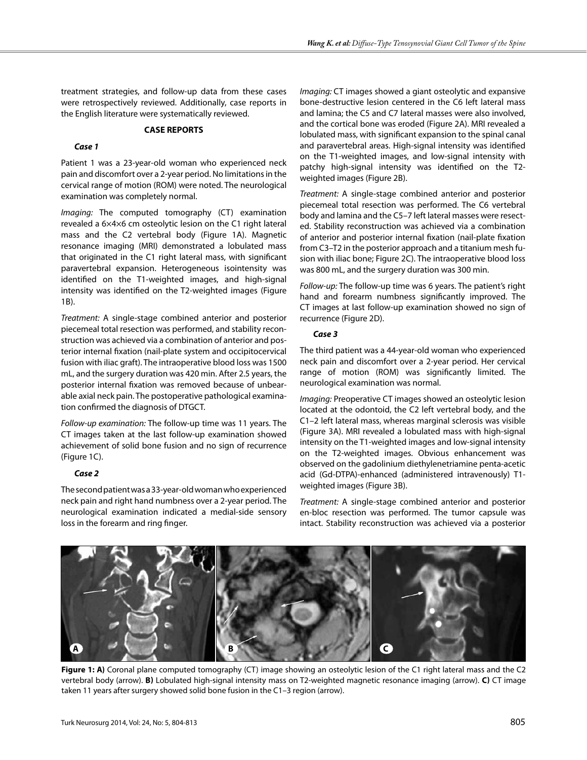treatment strategies, and follow-up data from these cases were retrospectively reviewed. Additionally, case reports in the English literature were systematically reviewed.

#### **CASE REPORTS**

#### *Case 1*

Patient 1 was a 23-year-old woman who experienced neck pain and discomfort over a 2-year period. No limitations in the cervical range of motion (ROM) were noted. The neurological examination was completely normal.

*Imaging:* The computed tomography (CT) examination revealed a 6×4×6 cm osteolytic lesion on the C1 right lateral mass and the C2 vertebral body (Figure 1a). Magnetic resonance imaging (MRI) demonstrated a lobulated mass that originated in the C1 right lateral mass, with significant paravertebral expansion. Heterogeneous isointensity was identified on the T1-weighted images, and high-signal intensity was identified on the T2-weighted images (Figure 1b).

*Treatment:* A single-stage combined anterior and posterior piecemeal total resection was performed, and stability reconstruction was achieved via a combination of anterior and posterior internal fixation (nail-plate system and occipitocervical fusion with iliac graft). The intraoperative blood loss was 1500 mL, and the surgery duration was 420 min. After 2.5 years, the posterior internal fixation was removed because of unbearable axial neck pain. The postoperative pathological examination confirmed the diagnosis of DTGCT.

*Follow-up examination:* The follow-up time was 11 years. The CT images taken at the last follow-up examination showed achievement of solid bone fusion and no sign of recurrence (Figure 1c).

#### *Case 2*

The second patient was a 33-year-old woman who experienced neck pain and right hand numbness over a 2-year period. The neurological examination indicated a medial-side sensory loss in the forearm and ring finger.

*Imaging:* CT images showed a giant osteolytic and expansive bone-destructive lesion centered in the C6 left lateral mass and lamina; the C5 and C7 lateral masses were also involved, and the cortical bone was eroded (Figure 2A). MRI revealed a lobulated mass, with significant expansion to the spinal canal and paravertebral areas. High-signal intensity was identified on the T1-weighted images, and low-signal intensity with patchy high-signal intensity was identified on the T2 weighted images (Figure 2B).

*Treatment:* A single-stage combined anterior and posterior piecemeal total resection was performed. The C6 vertebral body and lamina and the C5–7 left lateral masses were resected. Stability reconstruction was achieved via a combination of anterior and posterior internal fixation (nail-plate fixation from C3–T2 in the posterior approach and a titanium mesh fusion with iliac bone; Figure 2c). The intraoperative blood loss was 800 mL, and the surgery duration was 300 min.

*Follow-up:* The follow-up time was 6 years. The patient's right hand and forearm numbness significantly improved. The CT images at last follow-up examination showed no sign of recurrence (Figure 2D).

#### *Case 3*

The third patient was a 44-year-old woman who experienced neck pain and discomfort over a 2-year period. Her cervical range of motion (ROM) was significantly limited. The neurological examination was normal.

*Imaging:* Preoperative CT images showed an osteolytic lesion located at the odontoid, the C2 left vertebral body, and the C1–2 left lateral mass, whereas marginal sclerosis was visible (Figure 3a). MRI revealed a lobulated mass with high-signal intensity on the T1-weighted images and low-signal intensity on the T2-weighted images. Obvious enhancement was observed on the gadolinium diethylenetriamine penta-acetic acid (Gd-DTPA)-enhanced (administered intravenously) T1 weighted images (Figure 3b).

*Treatment:* A single-stage combined anterior and posterior en-bloc resection was performed. The tumor capsule was intact. Stability reconstruction was achieved via a posterior



**Figure 1: A)** Coronal plane computed tomography (CT) image showing an osteolytic lesion of the C1 right lateral mass and the C2 vertebral body (arrow). **b)** Lobulated high-signal intensity mass on T2-weighted magnetic resonance imaging (arrow). **c)** CT image taken 11 years after surgery showed solid bone fusion in the C1–3 region (arrow).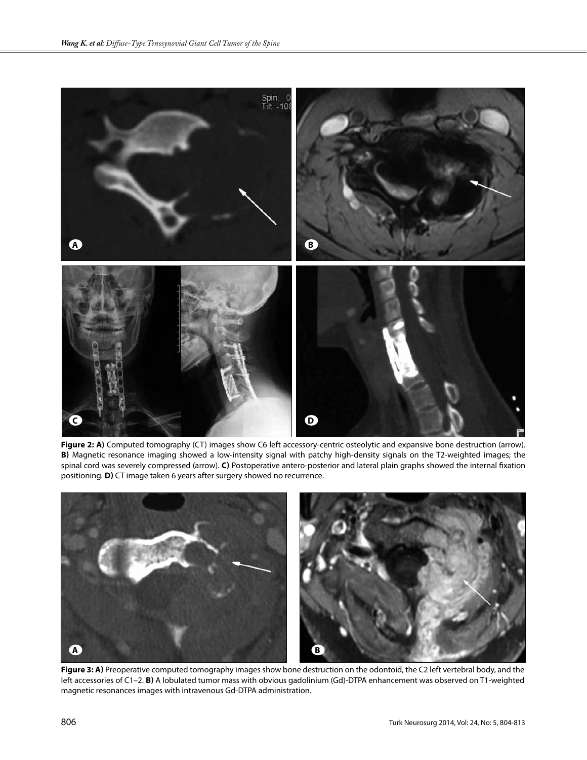

Figure 2: A) Computed tomography (CT) images show C6 left accessory-centric osteolytic and expansive bone destruction (arrow). **b)** Magnetic resonance imaging showed a low-intensity signal with patchy high-density signals on the T2-weighted images; the spinal cord was severely compressed (arrow). **c)** Postoperative antero-posterior and lateral plain graphs showed the internal fixation positioning. **d)** CT image taken 6 years after surgery showed no recurrence.



Figure 3: A) Preoperative computed tomography images show bone destruction on the odontoid, the C2 left vertebral body, and the left accessories of C1–2. **b)** A lobulated tumor mass with obvious gadolinium (Gd)-DTPA enhancement was observed on T1-weighted magnetic resonances images with intravenous Gd-DTPA administration.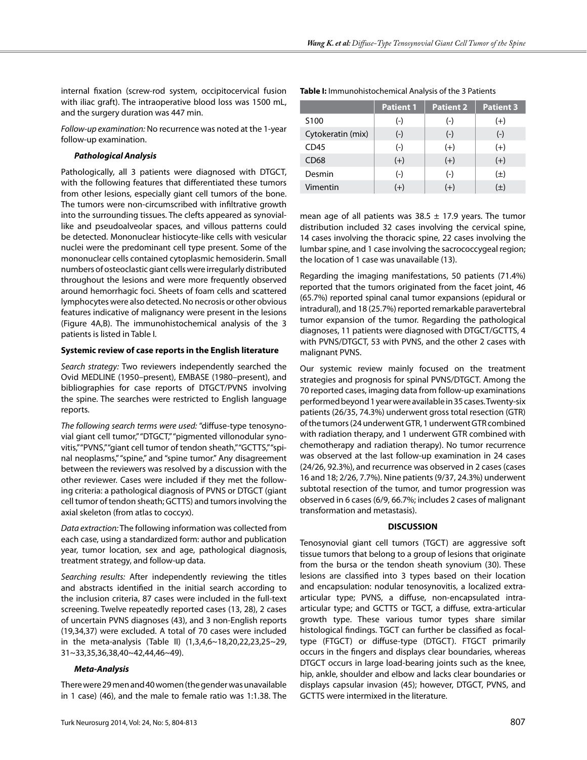internal fixation (screw-rod system, occipitocervical fusion with iliac graft). The intraoperative blood loss was 1500 mL, and the surgery duration was 447 min.

*Follow-up examination:* No recurrence was noted at the 1-year follow-up examination.

## *Pathological Analysis*

Pathologically, all 3 patients were diagnosed with DTGCT, with the following features that differentiated these tumors from other lesions, especially giant cell tumors of the bone. The tumors were non-circumscribed with infiltrative growth into the surrounding tissues. The clefts appeared as synoviallike and pseudoalveolar spaces, and villous patterns could be detected. Mononuclear histiocyte-like cells with vesicular nuclei were the predominant cell type present. Some of the mononuclear cells contained cytoplasmic hemosiderin. Small numbers of osteoclastic giant cells were irregularly distributed throughout the lesions and were more frequently observed around hemorrhagic foci. Sheets of foam cells and scattered lymphocytes were also detected. No necrosis or other obvious features indicative of malignancy were present in the lesions (Figure 4A,B). The immunohistochemical analysis of the 3 patients is listed in Table I.

## **Systemic review of case reports in the English literature**

*Search strategy:* Two reviewers independently searched the Ovid MEDLINE (1950–present), EMBASE (1980–present), and bibliographies for case reports of DTGCT/PVNS involving the spine. The searches were restricted to English language reports.

*The following search terms were used:* "diffuse-type tenosynovial giant cell tumor," "DTGCT," "pigmented villonodular synovitis," "PVNS," "giant cell tumor of tendon sheath," "GCTTS," "spinal neoplasms," "spine," and "spine tumor." Any disagreement between the reviewers was resolved by a discussion with the other reviewer. Cases were included if they met the following criteria: a pathological diagnosis of PVNS or DTGCT (giant cell tumor of tendon sheath; GCTTS) and tumors involving the axial skeleton (from atlas to coccyx).

*Data extraction:* The following information was collected from each case, using a standardized form: author and publication year, tumor location, sex and age, pathological diagnosis, treatment strategy, and follow-up data.

*Searching results:* After independently reviewing the titles and abstracts identified in the initial search according to the inclusion criteria, 87 cases were included in the full-text screening. Twelve repeatedly reported cases (13, 28), 2 cases of uncertain PVNS diagnoses (43), and 3 non-English reports (19,34,37) were excluded. A total of 70 cases were included in the meta-analysis (Table II) (1,3,4,6~18,20,22,23,25~29, 31~33,35,36,38,40~42,44,46~49).

## *Meta-Analysis*

There were 29 men and 40 women (the gender was unavailable in 1 case) (46), and the male to female ratio was 1:1.38. The

|                   | <b>Patient 1</b> | <b>Patient 2</b> | <b>Patient 3</b> |
|-------------------|------------------|------------------|------------------|
| S <sub>100</sub>  | $(-)$            | $(-)$            | $(+)$            |
| Cytokeratin (mix) | $(-)$            | $(-)$            | $(-)$            |
| CD45              | $(-)$            | $(+)$            | $(+)$            |
| <b>CD68</b>       | $(+)$            | $(+)$            | $(+)$            |
| Desmin            | $(-)$            | $(-)$            | $(\pm)$          |
| Vimentin          | $(+)$            | $(+)$            | $(\pm)$          |

**Table I:** Immunohistochemical Analysis of the 3 Patients

mean age of all patients was  $38.5 \pm 17.9$  years. The tumor distribution included 32 cases involving the cervical spine, 14 cases involving the thoracic spine, 22 cases involving the lumbar spine, and 1 case involving the sacrococcygeal region; the location of 1 case was unavailable (13).

Regarding the imaging manifestations, 50 patients (71.4%) reported that the tumors originated from the facet joint, 46 (65.7%) reported spinal canal tumor expansions (epidural or intradural), and 18 (25.7%) reported remarkable paravertebral tumor expansion of the tumor. Regarding the pathological diagnoses, 11 patients were diagnosed with DTGCT/GCTTS, 4 with PVNS/DTGCT, 53 with PVNS, and the other 2 cases with malignant PVNS.

Our systemic review mainly focused on the treatment strategies and prognosis for spinal PVNS/DTGCT. Among the 70 reported cases, imaging data from follow-up examinations performed beyond 1 year were available in 35 cases. Twenty-six patients (26/35, 74.3%) underwent gross total resection (GTR) of the tumors (24 underwent GTR, 1 underwent GTR combined with radiation therapy, and 1 underwent GTR combined with chemotherapy and radiation therapy). No tumor recurrence was observed at the last follow-up examination in 24 cases (24/26, 92.3%), and recurrence was observed in 2 cases (cases 16 and 18; 2/26, 7.7%). Nine patients (9/37, 24.3%) underwent subtotal resection of the tumor, and tumor progression was observed in 6 cases (6/9, 66.7%; includes 2 cases of malignant transformation and metastasis).

## **DISCUSSION**

Tenosynovial giant cell tumors (TGCT) are aggressive soft tissue tumors that belong to a group of lesions that originate from the bursa or the tendon sheath synovium (30). These lesions are classified into 3 types based on their location and encapsulation: nodular tenosynovitis, a localized extraarticular type; PVNS, a diffuse, non-encapsulated intraarticular type; and GCTTS or TGCT, a diffuse, extra-articular growth type. These various tumor types share similar histological findings. TGCT can further be classified as focaltype (FTGCT) or diffuse-type (DTGCT). FTGCT primarily occurs in the fingers and displays clear boundaries, whereas DTGCT occurs in large load-bearing joints such as the knee, hip, ankle, shoulder and elbow and lacks clear boundaries or displays capsular invasion (45); however, DTGCT, PVNS, and GCTTS were intermixed in the literature.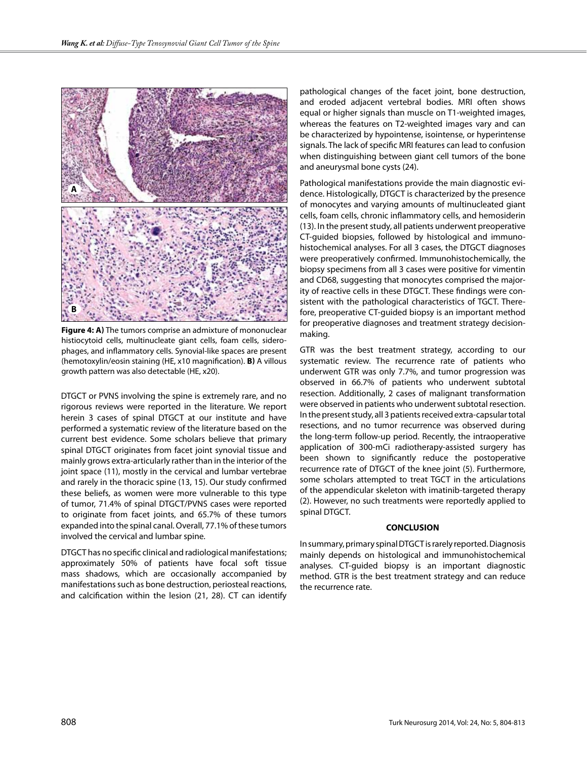

**Figure 4: a)** The tumors comprise an admixture of mononuclear histiocytoid cells, multinucleate giant cells, foam cells, siderophages, and inflammatory cells. Synovial-like spaces are present (hemotoxylin/eosin staining (HE, x10 magnification). **b)** A villous growth pattern was also detectable (HE, x20).

DTGCT or PVNS involving the spine is extremely rare, and no rigorous reviews were reported in the literature. We report herein 3 cases of spinal DTGCT at our institute and have performed a systematic review of the literature based on the current best evidence. Some scholars believe that primary spinal DTGCT originates from facet joint synovial tissue and mainly grows extra-articularly rather than in the interior of the joint space (11), mostly in the cervical and lumbar vertebrae and rarely in the thoracic spine (13, 15). Our study confirmed these beliefs, as women were more vulnerable to this type of tumor, 71.4% of spinal DTGCT/PVNS cases were reported to originate from facet joints, and 65.7% of these tumors expanded into the spinal canal. Overall, 77.1% of these tumors involved the cervical and lumbar spine.

DTGCT has no specific clinical and radiological manifestations; approximately 50% of patients have focal soft tissue mass shadows, which are occasionally accompanied by manifestations such as bone destruction, periosteal reactions, and calcification within the lesion (21, 28). CT can identify pathological changes of the facet joint, bone destruction, and eroded adjacent vertebral bodies. MRI often shows equal or higher signals than muscle on T1-weighted images, whereas the features on T2-weighted images vary and can be characterized by hypointense, isointense, or hyperintense signals. The lack of specific MRI features can lead to confusion when distinguishing between giant cell tumors of the bone and aneurysmal bone cysts (24).

Pathological manifestations provide the main diagnostic evidence. Histologically, DTGCT is characterized by the presence of monocytes and varying amounts of multinucleated giant cells, foam cells, chronic inflammatory cells, and hemosiderin (13). In the present study, all patients underwent preoperative CT-guided biopsies, followed by histological and immunohistochemical analyses. For all 3 cases, the DTGCT diagnoses were preoperatively confirmed. Immunohistochemically, the biopsy specimens from all 3 cases were positive for vimentin and CD68, suggesting that monocytes comprised the majority of reactive cells in these DTGCT. These findings were consistent with the pathological characteristics of TGCT. Therefore, preoperative CT-guided biopsy is an important method for preoperative diagnoses and treatment strategy decisionmaking.

GTR was the best treatment strategy, according to our systematic review. The recurrence rate of patients who underwent GTR was only 7.7%, and tumor progression was observed in 66.7% of patients who underwent subtotal resection. Additionally, 2 cases of malignant transformation were observed in patients who underwent subtotal resection. In the present study, all 3 patients received extra-capsular total resections, and no tumor recurrence was observed during the long-term follow-up period. Recently, the intraoperative application of 300-mCi radiotherapy-assisted surgery has been shown to significantly reduce the postoperative recurrence rate of DTGCT of the knee joint (5). Furthermore, some scholars attempted to treat TGCT in the articulations of the appendicular skeleton with imatinib-targeted therapy (2). However, no such treatments were reportedly applied to spinal DTGCT.

#### **CONCLUSION**

In summary, primary spinal DTGCT is rarely reported. Diagnosis mainly depends on histological and immunohistochemical analyses. CT-guided biopsy is an important diagnostic method. GTR is the best treatment strategy and can reduce the recurrence rate.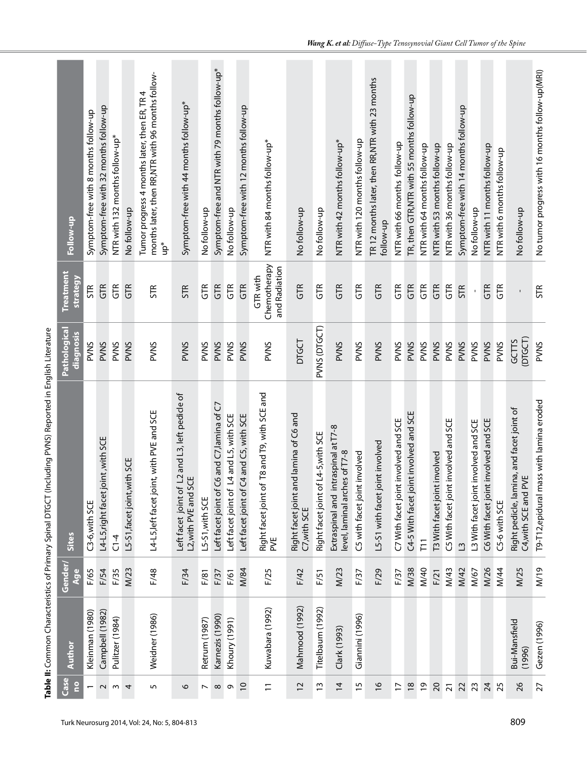| Follow-up                               | Symptom-free with 8 months follow-up | Symptom-free with 32 months follow-up | NTR with 132 months follow-up* | No follow-up                 | months later, then RR,NTR with 96 months follow-<br>Tumor progress 4 months later, then ER, TR 4<br>$4^{p*}$ | Symptom-free with 44 months follow-up*                                | No follow-up             | Symptom-free and NTR with 79 months follow-up* | No follow-up                            | Symptom-free with 12 months follow-up   | NTR with 84 months follow-up*                          | No follow-up                                           | No follow-up                        | NTR with 42 months follow-up*                                        | NTR with 120 months follow-up | TR 12 months later, then RR, NTR with 23 months<br>follow-up | NTR with 66 months follow-up         | TR, then GTR, NTR with 55 months follow-up | NTR with 64 months follow-up | NTR with 53 months follow-up | NTR with 36 months follow-up         | Symptom-free with 14 months follow-up | No follow-up                         | NTR with 11 months follow-up         | NTR with 6 months follow-up | No follow-up                                                      | No tumor progress with 16 months follow-up(MRI) |
|-----------------------------------------|--------------------------------------|---------------------------------------|--------------------------------|------------------------------|--------------------------------------------------------------------------------------------------------------|-----------------------------------------------------------------------|--------------------------|------------------------------------------------|-----------------------------------------|-----------------------------------------|--------------------------------------------------------|--------------------------------------------------------|-------------------------------------|----------------------------------------------------------------------|-------------------------------|--------------------------------------------------------------|--------------------------------------|--------------------------------------------|------------------------------|------------------------------|--------------------------------------|---------------------------------------|--------------------------------------|--------------------------------------|-----------------------------|-------------------------------------------------------------------|-------------------------------------------------|
| <b>Treatment</b><br>strategy            | <b>STR</b>                           | GFR                                   | GTR <sub></sub>                | GTR                          | <b>STR</b>                                                                                                   | <b>STR</b>                                                            | GTR                      | GTR                                            | GTR                                     | GTR                                     | Chemotherapy<br>and Radiation<br>GTR with              | GTR                                                    | GTR                                 | GTR                                                                  | GTR                           | GTR                                                          | GTR                                  | GTR                                        | GTR                          | GTR                          | GTR <sub></sub>                      | <b>STR</b>                            | $\bar{\mathbf{I}}$                   | GTR                                  | GTR                         |                                                                   | <b>STR</b>                                      |
| Pathological<br>diagnosis               | PVNS                                 | <b>PVNS</b>                           | <b>PVNS</b>                    | <b>PVVS</b>                  | PVNS                                                                                                         | PVNS                                                                  | PVNS                     | PVNS                                           | PVNS                                    | PVNS                                    | PVNS                                                   | DIGCT                                                  | PVNS (DTGCT)                        | PVNS                                                                 | PVNS                          | <b>PVNS</b>                                                  | PVNS                                 | <b>PVNS</b>                                | <b>PVNS</b>                  | <b>PVNS</b>                  | <b>PVNS</b>                          | <b>PVNS</b>                           | PVNS                                 | <b>PVNS</b>                          | <b>PVNS</b>                 | (DTGCT)<br>GCTTS                                                  | <b>PVVS</b>                                     |
| Sites                                   | C3-6, with SCE                       | nt, with SCE<br>L4-L5,right facet joi | $C1-4$                         | L5-S1, facet joint, with SCE | L4-L5, left facet joint, with PVE and SCE                                                                    | Left facet joint of L2 and L3, left pedicle of<br>L2,with PVE and SCE | L5-S1, with SCE          | Left facet joint of C6 and C7, lamina of C7    | Left facet joint of L4 and L5, with SCE | Left facet joint of C4 and C5, with SCE | T8 and T9, with SCE and<br>Right facet joint of<br>PVE | Right facet joint and lamina of C6 and<br>C7, with SCE | Right facet joint of L4-5, with SCE | Extraspinal and intraspinal at T7-8<br>level, laminal arches of T7-8 | C5 with facet joint involved  | L5-S1 with facet joint involved                              | C7 With facet joint involved and SCE | C4-5 With facet joint involved and SCE     | $\overline{11}$              | T3 With facet joint involved | C5 With facet joint involved and SCE | $\mathbf{C}$                          | L3 With facet joint involved and SCE | C6 With facet joint involved and SCE | C5-6 with SCE               | Right pedicle, lamina, and facet joint of<br>C4, with SCE and PVE | T9-T12, epidural mass with lamina eroded        |
| Gender/<br>Age                          | F/65                                 | F/54                                  | F/35                           | M/23                         | F/48                                                                                                         | F/34                                                                  | F/81                     | F/37                                           | F/61                                    | M/84                                    | F/25                                                   | F/42                                                   | F/51                                | M/23                                                                 | F/37                          | F/29                                                         | F/37                                 | M/38                                       | M/40                         | F/21                         | M/43                                 | M/42                                  | M/67                                 | M/26                                 | <b>M/44</b>                 | M/25                                                              | M/19                                            |
| Author                                  | Kleinman (1980)                      | Campbell (1982)                       | Pulitzer (1984)                |                              | Weidner (1986)                                                                                               |                                                                       | Retrum (1987)            | Karnezis (1990)                                | Khoury (1991)                           |                                         | Kuwabara (1992)                                        | Mahmood (1992)                                         | Titelbaum (1992)                    | Clark (1993)                                                         | Giannini (1996)               |                                                              |                                      |                                            |                              |                              |                                      |                                       |                                      |                                      |                             | Bui-Mansfield<br>(1996)                                           | Gezen (1996)                                    |
| <b>Case</b><br>$\overline{\phantom{a}}$ | $\overline{\phantom{0}}$             | $\sim$                                | $\mathsf{w}$                   | 4                            | 5                                                                                                            | 6                                                                     | $\overline{\phantom{0}}$ | $\infty$                                       | ó                                       | $\overline{0}$                          | $\overline{a}$                                         | $\overline{c}$                                         | $\tilde{c}$                         | $\overline{4}$                                                       | $\frac{1}{2}$                 | $\frac{8}{1}$                                                | $\overline{1}$                       | $\frac{8}{1}$                              | $\overline{0}$               | 20                           | $\overline{2}1$                      | 22                                    | 23                                   | $\overline{24}$                      | 25                          | 26                                                                | 27                                              |

**Table II:** Common Characteristics of Primary Spinal DTGCT (Including PVNS) Reported in English Literature

Table II: Common Characteristics of Primary Spinal DTGCT (Including PVNS) Reported in English Literature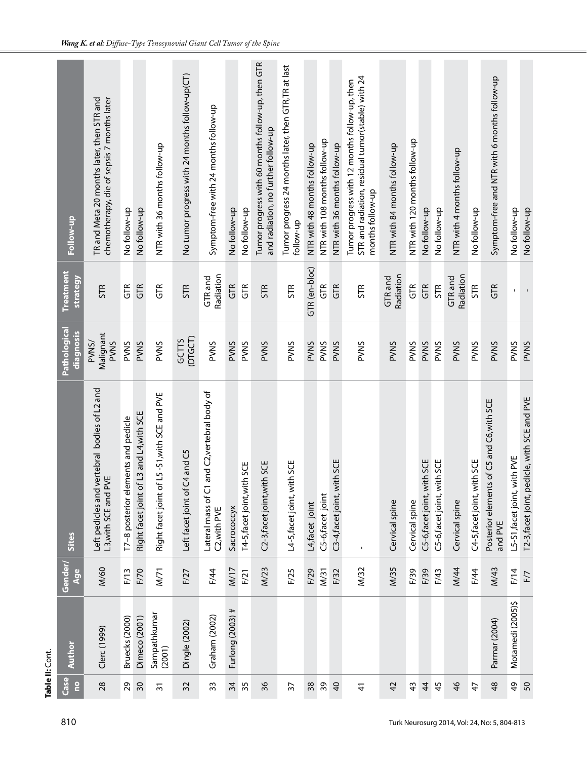| Follow-up                        | TR and Meta 20 months later, then STR and<br>chemotherapy, die of sepsis 7 months later | No follow-up                        | No follow-up                                | NTR with 36 months follow-up                    | No tumor progress with 24 months follow-up(CT) | Symptom-free with 24 months follow-up                           | No follow-up     | No follow-up                | Tumor progress with 60 months follow-up, then GTR<br>and radiation, no further follow-up | Tumor progress 24 months later, then GTR,TR at last<br>follow-up | NTR with 48 months follow-up | NTR with 108 months follow-up | NTR with 36 months follow-up | STR and radiation, residual tumor(stable) with 24<br>Tumor progress with 12 months follow-up, then<br>months follow-up | NTR with 84 months follow-up | NTR with 120 months follow-up | No follow-up                | No follow-up                | NTR with 4 months follow-up | No follow-up                | Symptom-free and NTR with 6 months follow-up            | No follow-up                 | No follow-up                                 |
|----------------------------------|-----------------------------------------------------------------------------------------|-------------------------------------|---------------------------------------------|-------------------------------------------------|------------------------------------------------|-----------------------------------------------------------------|------------------|-----------------------------|------------------------------------------------------------------------------------------|------------------------------------------------------------------|------------------------------|-------------------------------|------------------------------|------------------------------------------------------------------------------------------------------------------------|------------------------------|-------------------------------|-----------------------------|-----------------------------|-----------------------------|-----------------------------|---------------------------------------------------------|------------------------------|----------------------------------------------|
| <b>Treatment</b><br>strategy     | <b>STR</b>                                                                              | GTR                                 | GTR                                         | GTR <sub></sub>                                 | <b>STR</b>                                     | Radiation<br><b>GTR</b> and                                     | GTR              | GTR                         | <b>STR</b>                                                                               | <b>STR</b>                                                       | GTR (en-bloc)                | GTR                           | GTR <sub></sub>              | <b>STR</b>                                                                                                             | Radiation<br>GTR and         | $\widetilde{5}$               | GTR                         | <b>STR</b>                  | Radiation<br><b>GTR</b> and | <b>STR</b>                  | GTR                                                     |                              |                                              |
| Pathological<br>diagnosis        | Malignant<br>PVNS/<br><b>PVVS</b>                                                       | PVNS                                | <b>PVWS</b>                                 | PVNS                                            | (DTGCT)<br>GCTTS                               | PVNS                                                            | <b>PVNS</b>      | PVNS                        | <b>PVNS</b>                                                                              | PVNS                                                             | <b>PVNS</b>                  | <b>PVNS</b>                   | <b>PVWS</b>                  | <b>PVNS</b>                                                                                                            | <b>PVNS</b>                  | <b>PVNS</b>                   | PVNS                        | PVNS                        | <b>PVNS</b>                 | <b>PVNS</b>                 | <b>PVNS</b>                                             | <b>PVNS</b>                  | <b>PVNS</b>                                  |
| <b>Sites</b>                     | Left pedicles and vertebral bodies of L2 and<br>L3, with SCE and PVE                    | T7-8 posterior elements and pedicle | L3 and L4, with SCE<br>Right facet joint of | L5-S1, with SCE and PVE<br>Right facet joint of | Left facet joint of C4 and C5                  | and C2, vertebral body of<br>Lateral mass of C1<br>C2, with PVE | Sacrococcyx      | T4-5, facet joint, with SCE | C2-3, facet joint, with SCE                                                              | L4-5, facet joint, with SCE                                      | L4, facet joint              | C5-6, facet joint             | C3-4, facet joint, with SCE  | $\mathbf I$                                                                                                            | Cervical spine               | Cervical spine                | C5-6, facet joint, with SCE | C5-6, facet joint, with SCE | Cervical spine              | C4-5, facet joint, with SCE | of C5 and C6, with SCE<br>Posterior elements<br>and PVE | L5-S1, facet joint, with PVE | T2-3, facet joint, pedicle, with SCE and PVE |
| Gender/<br>Age                   | M/60                                                                                    | F/13                                | F/70                                        | M/71                                            | F/27                                           | F/44                                                            | M/17             | F/21                        | M/23                                                                                     | F/25                                                             | F/29                         | M <sub>31</sub>               | F/32                         | M/32                                                                                                                   | M/35                         | F/39                          | F/39                        | F/43                        | M/44                        | F/44                        | M/43                                                    | F/14                         | F/7                                          |
| <b>Author</b>                    | Clerc (1999)                                                                            | Bruecks (2000)                      | <b>Dimeco</b> (2001)                        | Sampathkumar<br>(2001)                          | Dingle (2002)                                  | Graham (2002)                                                   | Furlong (2003) # |                             |                                                                                          |                                                                  |                              |                               |                              |                                                                                                                        |                              |                               |                             |                             |                             |                             | Parmar (2004)                                           | Motamedi (2005)\$            |                                              |
| Case<br>$\overline{\phantom{a}}$ | 28                                                                                      | 29                                  | 30                                          | $\overline{3}$                                  | 32                                             | 33                                                              | 34               | 35                          | 36                                                                                       | 57                                                               | 38                           | 39                            | $\overline{a}$               | $\frac{4}{3}$                                                                                                          | 42                           | $\frac{3}{4}$                 | $\ddot{4}$                  | 45                          | $\frac{4}{6}$               | 47                          | 48                                                      | $\overline{6}$               | 50                                           |

**Table II:** Cont.

Table II: Cont.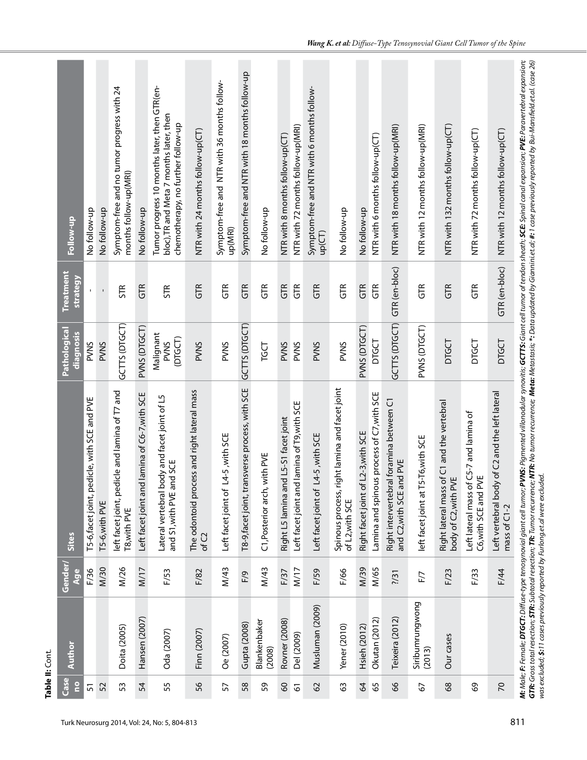| Case<br><u>e</u> | Author                             | Gender/<br>Age | <b>Sites</b>                                                                         | Pathological<br>diagnosis           | <b>Treatment</b><br><b>strategy</b> | Follow-up                                                                                                                                                                                                                                                                                                                                                                                                                                      |
|------------------|------------------------------------|----------------|--------------------------------------------------------------------------------------|-------------------------------------|-------------------------------------|------------------------------------------------------------------------------------------------------------------------------------------------------------------------------------------------------------------------------------------------------------------------------------------------------------------------------------------------------------------------------------------------------------------------------------------------|
| $\overline{5}$   |                                    | F/36           | icle, with SCE and PVE<br>T5-6, facet joint, ped                                     | <b>PVVNS</b>                        |                                     | No follow-up                                                                                                                                                                                                                                                                                                                                                                                                                                   |
| 52               |                                    | M/30           | T5-6, with PVE                                                                       | <b>PVNS</b>                         | $\bar{\Gamma}$                      | No follow-up                                                                                                                                                                                                                                                                                                                                                                                                                                   |
| 53               | Doita (2005)                       | M/26           | left facet joint, pedicle and lamina of T7 and<br>T8, with PVE                       | GCTTS (DTGCT)                       | <b>STR</b>                          | Symptom-free and no tumor progress with 24<br>months follow-up(MRI)                                                                                                                                                                                                                                                                                                                                                                            |
| 54               | Hansen (2007)                      | M/17           | Left facet joint and lamina of C6-7, with SCE                                        | PVNS (DTGCT)                        | GTR                                 | No follow-up                                                                                                                                                                                                                                                                                                                                                                                                                                   |
| 55               | Oda (2007)                         | F/53           | Lateral vertebral body and facet joint of L5<br>and S1, with PVE and SCE             | Malignant<br>(DTGCT)<br><b>PVVS</b> | <b>STR</b>                          | Tumor progress 10 months later, then GTR(en-<br>bloc), TR and Meta 7 months later, then<br>chemotherapy, no further follow-up                                                                                                                                                                                                                                                                                                                  |
| 56               | Finn (2007)                        | F/82           | The odontoid process and right lateral mass<br>of C2                                 | <b>PVNS</b>                         | GTR                                 | NTR with 24 months follow-up(CT)                                                                                                                                                                                                                                                                                                                                                                                                               |
| 57               | <b>Oe</b> (2007)                   | M/43           | <b>I-5, with SCE</b><br>Left facet joint of L4                                       | PVNS                                | GTR <sub></sub>                     | Symptom-free and NTR with 36 months follow-<br>up(MRI)                                                                                                                                                                                                                                                                                                                                                                                         |
| 58               | Gupta (2008)                       | F/9            | T8-9, facet joint, transverse process, with SCE                                      | GCTTS (DTGCT)                       | GTR                                 | Symptom-free and NTR with 18 months follow-up                                                                                                                                                                                                                                                                                                                                                                                                  |
| 59               | Blankenbaker<br>(2008)             | M/43           | ith PVE<br>C1, Posterior arch, w                                                     | TGCT                                | GTR <sub></sub>                     | No follow-up                                                                                                                                                                                                                                                                                                                                                                                                                                   |
| $\infty$<br>67   | <b>Rovner</b> (2008)<br>Del (2009) | M/17<br>F/37   | Left facet joint and lamina of T9, with SCE<br>Right L5 lamina and L5-S1 facet joint | <b>PVWS</b><br><b>PVNS</b>          | GTR<br>GTR <sub></sub>              | NTR with 72 months follow-up(MRI)<br>NTR with 8 months follow-up(CT)                                                                                                                                                                                                                                                                                                                                                                           |
| 62               | Musluman (2009)                    | F/59           | -5, with SCE<br>Left facet joint of L4                                               | PVNS                                | GTR                                 | Symptom-free and NTR with 6 months follow-<br>up(CT)                                                                                                                                                                                                                                                                                                                                                                                           |
| 63               | Yener (2010)                       | F/66           | Spinous process, right lamina and facet joint<br>of L2, with SCE                     | PVNS                                | GTR <sub></sub>                     | No follow-up                                                                                                                                                                                                                                                                                                                                                                                                                                   |
| $\mathcal{Q}$    | <b>Hsieh (2012)</b>                | M/39           | Right facet joint of L2-3, with SCE                                                  | PVNS (DTGCT)                        | GTR                                 | No follow-up                                                                                                                                                                                                                                                                                                                                                                                                                                   |
| 65               | Okutan (2012)                      | M/65           | process of C7, with SCE<br>Lamina and spinous                                        | <b>DTGCT</b>                        | GTR                                 | NTR with 6 months follow-up(CT)                                                                                                                                                                                                                                                                                                                                                                                                                |
| 89               | Teixeira (2012)                    | 1/31           | foramina between C1<br>and C2, with SCE and PVE<br>Right intervertebral              | GCTTS (DTGCT)                       | GTR (en-bloc)                       | NTR with 18 months follow-up(MRI)                                                                                                                                                                                                                                                                                                                                                                                                              |
| 67               | Siribumrungwong<br>(2013)          | F/7            | left facet joint at T5-T6, with SCE                                                  | PVNS (DTGCT)                        | $\frac{1}{5}$                       | NTR with 12 months follow-up(MRI)                                                                                                                                                                                                                                                                                                                                                                                                              |
| 68               | Our cases                          | F/23           | Right lateral mass of C1 and the vertebral<br>body of C2, with PVE                   | DIGCT                               | GTR                                 | NTR with 132 months follow-up(CT)                                                                                                                                                                                                                                                                                                                                                                                                              |
| 69               |                                    | F/33           | Left lateral mass of C5-7 and lamina of<br>C6, with SCE and PVE                      | DIGCT                               | $\widetilde{5}$                     | NTR with 72 months follow-up(CT)                                                                                                                                                                                                                                                                                                                                                                                                               |
| $\overline{C}$   |                                    | F/44           | Left vertebral body of C2 and the left lateral<br>mass of C1-2                       | DIGCT                               | GTR (en-bloc)                       | NTR with 12 months follow-up(CT)                                                                                                                                                                                                                                                                                                                                                                                                               |
|                  |                                    |                | was excluded; \$:11 cases previously reported by Furlong.et.al were excluded.        |                                     |                                     | M: Male; F: Female; DTGCT: Diffuse-type tenosynovial giant cell tumor; PVNS: Pigmented villonodular synovitis; GCTTS: Giant cell tumor of tendon sheath; SCE: Spinal canal expansion; PVE: Paravertebral expansion;<br>GTR: Gross total resection; STR: Subtotal resection; TR: Tumor recurrence; NTR: No tumor recurrence; Meta: Meta:sis; *: Data updated by Giannini.et.al; #: 1 case previously reported by Bui-Mansfield.et.al. (case 26) |

Table II: Cont. **Table II:** Cont.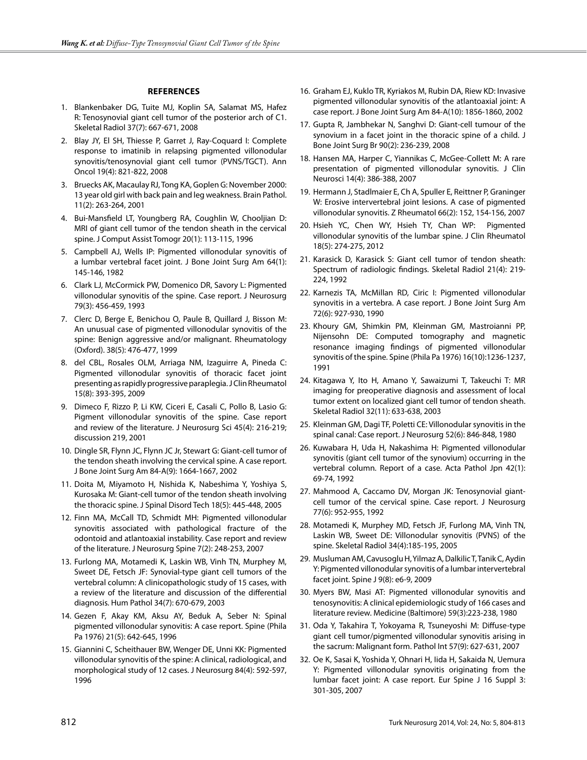#### **References**

- 1. Blankenbaker DG, Tuite MJ, Koplin SA, Salamat MS, Hafez R: Tenosynovial giant cell tumor of the posterior arch of C1. Skeletal Radiol 37(7): 667-671, 2008
- 2. Blay JY, El SH, Thiesse P, Garret J, Ray-Coquard I: Complete response to imatinib in relapsing pigmented villonodular synovitis/tenosynovial giant cell tumor (PVNS/TGCT). Ann Oncol 19(4): 821-822, 2008
- 3. Bruecks AK, Macaulay RJ, Tong KA, Goplen G: November 2000: 13 year old girl with back pain and leg weakness. Brain Pathol. 11(2): 263-264, 2001
- 4. Bui-Mansfield LT, Youngberg RA, Coughlin W, Chooljian D: MRI of giant cell tumor of the tendon sheath in the cervical spine. J Comput Assist Tomogr 20(1): 113-115, 1996
- 5. Campbell AJ, Wells IP: Pigmented villonodular synovitis of a lumbar vertebral facet joint. J Bone Joint Surg Am 64(1): 145-146, 1982
- 6. Clark LJ, McCormick PW, Domenico DR, Savory L: Pigmented villonodular synovitis of the spine. Case report. J Neurosurg 79(3): 456-459, 1993
- 7. Clerc D, Berge E, Benichou O, Paule B, Quillard J, Bisson M: An unusual case of pigmented villonodular synovitis of the spine: Benign aggressive and/or malignant. Rheumatology (Oxford). 38(5): 476-477, 1999
- 8. del CBL, Rosales OLM, Arriaga NM, Izaguirre A, Pineda C: Pigmented villonodular synovitis of thoracic facet joint presenting as rapidly progressive paraplegia. J Clin Rheumatol 15(8): 393-395, 2009
- 9. Dimeco F, Rizzo P, Li KW, Ciceri E, Casali C, Pollo B, Lasio G: Pigment villonodular synovitis of the spine. Case report and review of the literature. J Neurosurg Sci 45(4): 216-219; discussion 219, 2001
- 10. Dingle SR, Flynn JC, Flynn JC Jr, Stewart G: Giant-cell tumor of the tendon sheath involving the cervical spine. A case report. J Bone Joint Surg Am 84-A(9): 1664-1667, 2002
- 11. Doita M, Miyamoto H, Nishida K, Nabeshima Y, Yoshiya S, Kurosaka M: Giant-cell tumor of the tendon sheath involving the thoracic spine. J Spinal Disord Tech 18(5): 445-448, 2005
- 12. Finn MA, McCall TD, Schmidt MH: Pigmented villonodular synovitis associated with pathological fracture of the odontoid and atlantoaxial instability. Case report and review of the literature. J Neurosurg Spine 7(2): 248-253, 2007
- 13. Furlong MA, Motamedi K, Laskin WB, Vinh TN, Murphey M, Sweet DE, Fetsch JF: Synovial-type giant cell tumors of the vertebral column: A clinicopathologic study of 15 cases, with a review of the literature and discussion of the differential diagnosis. Hum Pathol 34(7): 670-679, 2003
- 14. Gezen F, Akay KM, Aksu AY, Beduk A, Seber N: Spinal pigmented villonodular synovitis: A case report. Spine (Phila Pa 1976) 21(5): 642-645, 1996
- 15. Giannini C, Scheithauer BW, Wenger DE, Unni KK: Pigmented villonodular synovitis of the spine: A clinical, radiological, and morphological study of 12 cases. J Neurosurg 84(4): 592-597, 1996
- 16. Graham EJ, Kuklo TR, Kyriakos M, Rubin DA, Riew KD: Invasive pigmented villonodular synovitis of the atlantoaxial joint: A case report. J Bone Joint Surg Am 84-A(10): 1856-1860, 2002
- 17. Gupta R, Jambhekar N, Sanghvi D: Giant-cell tumour of the synovium in a facet joint in the thoracic spine of a child. J Bone Joint Surg Br 90(2): 236-239, 2008
- 18. Hansen MA, Harper C, Yiannikas C, McGee-Collett M: A rare presentation of pigmented villonodular synovitis. J Clin Neurosci 14(4): 386-388, 2007
- 19. Hermann J, Stadlmaier E, Ch A, Spuller E, Reittner P, Graninger W: Erosive intervertebral joint lesions. A case of pigmented villonodular synovitis. Z Rheumatol 66(2): 152, 154-156, 2007
- 20. Hsieh YC, Chen WY, Hsieh TY, Chan WP: Pigmented villonodular synovitis of the lumbar spine. J Clin Rheumatol 18(5): 274-275, 2012
- 21. Karasick D, Karasick S: Giant cell tumor of tendon sheath: Spectrum of radiologic findings. Skeletal Radiol 21(4): 219- 224, 1992
- 22. Karnezis TA, McMillan RD, Ciric I: Pigmented villonodular synovitis in a vertebra. A case report. J Bone Joint Surg Am 72(6): 927-930, 1990
- 23. Khoury GM, Shimkin PM, Kleinman GM, Mastroianni PP, Nijensohn DE: Computed tomography and magnetic resonance imaging findings of pigmented villonodular synovitis of the spine. Spine (Phila Pa 1976) 16(10):1236-1237, 1991
- 24. Kitagawa Y, Ito H, Amano Y, Sawaizumi T, Takeuchi T: MR imaging for preoperative diagnosis and assessment of local tumor extent on localized giant cell tumor of tendon sheath. Skeletal Radiol 32(11): 633-638, 2003
- 25. Kleinman GM, Dagi TF, Poletti CE: Villonodular synovitis in the spinal canal: Case report. J Neurosurg 52(6): 846-848, 1980
- 26. Kuwabara H, Uda H, Nakashima H: Pigmented villonodular synovitis (giant cell tumor of the synovium) occurring in the vertebral column. Report of a case. Acta Pathol Jpn 42(1): 69-74, 1992
- 27. Mahmood A, Caccamo DV, Morgan JK: Tenosynovial giantcell tumor of the cervical spine. Case report. J Neurosurg 77(6): 952-955, 1992
- 28. Motamedi K, Murphey MD, Fetsch JF, Furlong MA, Vinh TN, Laskin WB, Sweet DE: Villonodular synovitis (PVNS) of the spine. Skeletal Radiol 34(4):185-195, 2005
- 29. Musluman AM, Cavusoglu H, Yilmaz A, Dalkilic T, Tanik C, Aydin Y: Pigmented villonodular synovitis of a lumbar intervertebral facet joint. Spine J 9(8): e6-9, 2009
- 30. Myers BW, Masi AT: Pigmented villonodular synovitis and tenosynovitis: A clinical epidemiologic study of 166 cases and literature review. Medicine (Baltimore) 59(3):223-238, 1980
- 31. Oda Y, Takahira T, Yokoyama R, Tsuneyoshi M: Diffuse-type giant cell tumor/pigmented villonodular synovitis arising in the sacrum: Malignant form. Pathol Int 57(9): 627-631, 2007
- 32. Oe K, Sasai K, Yoshida Y, Ohnari H, Iida H, Sakaida N, Uemura Y: Pigmented villonodular synovitis originating from the lumbar facet joint: A case report. Eur Spine J 16 Suppl 3: 301-305, 2007